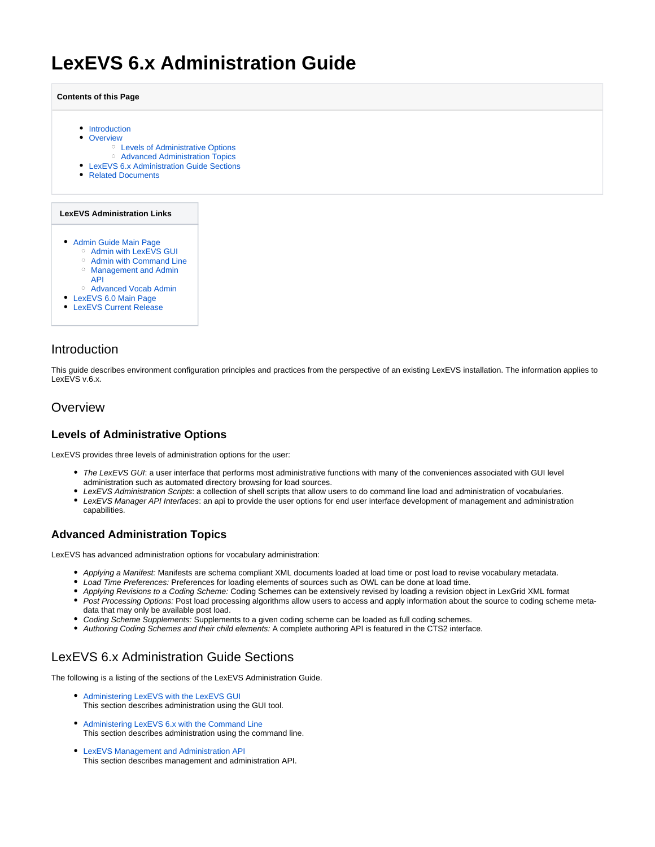# <span id="page-0-5"></span>**LexEVS 6.x Administration Guide**

**Contents of this Page**

- [Introduction](#page-0-0)
- [Overview](#page-0-1)
	- [Levels of Administrative Options](#page-0-2)
	- [Advanced Administration Topics](#page-0-3)
- [LexEVS 6.x Administration Guide Sections](#page-0-4)
- [Related Documents](#page-1-0)

#### **LexEVS Administration Links**

- [Admin Guide Main Page](#page-0-5)
	- <sup>o</sup> [Admin with LexEVS GUI](https://wiki.nci.nih.gov/display/LexEVS/1+-+LexEVS+6.x+Administration+Using+the+GUI+Tool)
	- <sup>o</sup> [Admin with Command Line](https://wiki.nci.nih.gov/display/LexEVS/2+-+Administering+LexEVS+6.0+with+the+Command+Line)
	- [Management and Admin](https://wiki.nci.nih.gov/display/LexEVS/3+-+LexEVS+6.x+Management+and+Administration+API)
	- [API](https://wiki.nci.nih.gov/display/LexEVS/3+-+LexEVS+6.x+Management+and+Administration+API)
	- [Advanced Vocab Admin](https://wiki.nci.nih.gov/display/LexEVS/4+-+Advanced+LexEVS+6.x+Vocabulary+Administration)
- [LexEVS 6.0 Main Page](https://wiki.nci.nih.gov/display/LexEVS/LexEVS+6.0)
- [LexEVS Current Release](https://wiki.nci.nih.gov/display/LexEVS/LexEVS)

### <span id="page-0-0"></span>Introduction

This guide describes environment configuration principles and practices from the perspective of an existing LexEVS installation. The information applies to LexEVS v.6.x.

#### <span id="page-0-1"></span>**Overview**

### <span id="page-0-2"></span>**Levels of Administrative Options**

LexEVS provides three levels of administration options for the user:

- The LexEVS GUI: a user interface that performs most administrative functions with many of the conveniences associated with GUI level administration such as automated directory browsing for load sources.
- LexEVS Administration Scripts: a collection of shell scripts that allow users to do command line load and administration of vocabularies.
- LexEVS Manager API Interfaces: an api to provide the user options for end user interface development of management and administration capabilities.

#### <span id="page-0-3"></span>**Advanced Administration Topics**

LexEVS has advanced administration options for vocabulary administration:

- Applying a Manifest: Manifests are schema compliant XML documents loaded at load time or post load to revise vocabulary metadata.
- Load Time Preferences: Preferences for loading elements of sources such as OWL can be done at load time.
- Applying Revisions to a Coding Scheme: Coding Schemes can be extensively revised by loading a revision object in LexGrid XML format
- Post Processing Options: Post load processing algorithms allow users to access and apply information about the source to coding scheme metadata that may only be available post load.
- Coding Scheme Supplements: Supplements to a given coding scheme can be loaded as full coding schemes.
- Authoring Coding Schemes and their child elements: A complete authoring API is featured in the CTS2 interface.

## <span id="page-0-4"></span>LexEVS 6.x Administration Guide Sections

The following is a listing of the sections of the LexEVS Administration Guide.

- [Administering LexEVS with the LexEVS GUI](https://wiki.nci.nih.gov/display/LexEVS/1+-+LexEVS+6.x+Administration+Using+the+GUI+Tool) This section describes administration using the GUI tool.
- [Administering LexEVS 6.x with the Command Line](https://wiki.nci.nih.gov/display/LexEVS/2+-+Administering+LexEVS+6.x+with+the+Command+Line)  This section describes administration using the command line.
- [LexEVS Management and Administration API](https://wiki.nci.nih.gov/display/LexEVS/3+-+LexEVS+6.x+Management+and+Administration+API)  This section describes management and administration API.